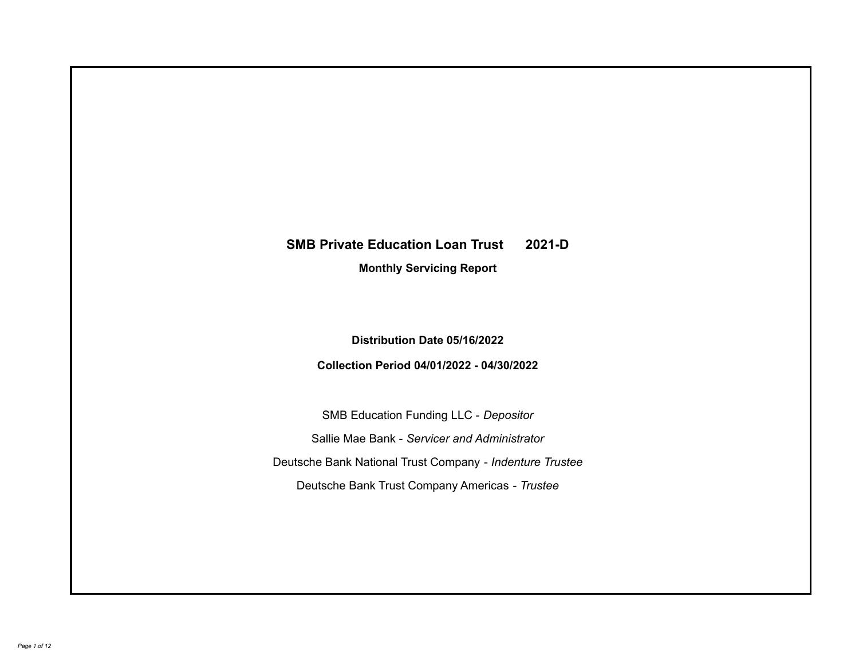# **SMB Private Education Loan Trust 2021-D**

**Monthly Servicing Report**

**Distribution Date 05/16/2022**

**Collection Period 04/01/2022 - 04/30/2022**

SMB Education Funding LLC - *Depositor* Sallie Mae Bank - *Servicer and Administrator* Deutsche Bank National Trust Company - *Indenture Trustee* Deutsche Bank Trust Company Americas - *Trustee*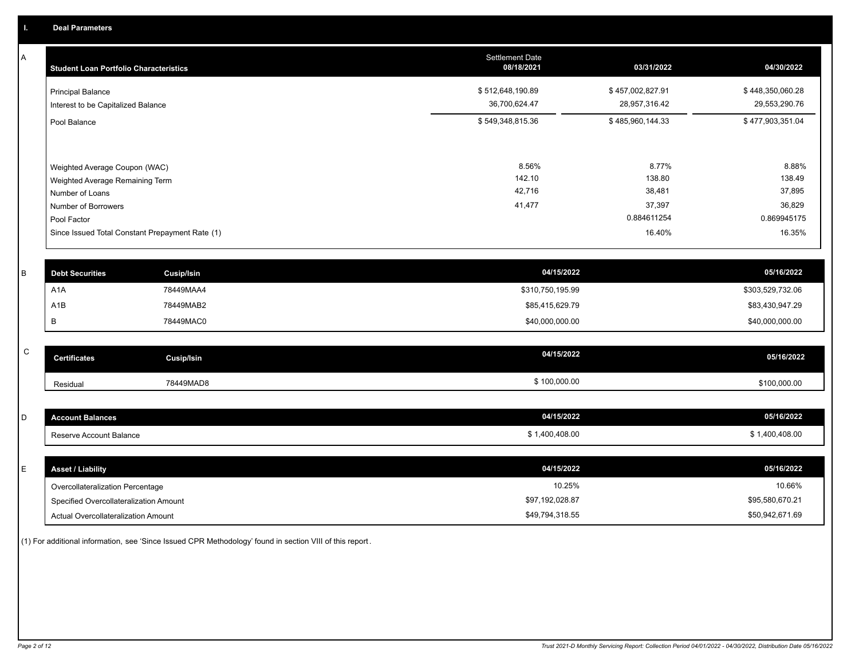A

| <b>Settlement Date</b><br>08/18/2021 | 03/31/2022                                         | 04/30/2022                                                   |
|--------------------------------------|----------------------------------------------------|--------------------------------------------------------------|
| \$512,648,190.89<br>36,700,624.47    | \$457,002,827.91<br>28,957,316.42                  | \$448,350,060.28<br>29,553,290.76                            |
| \$549,348,815.36                     | \$485,960,144.33                                   | \$477,903,351.04                                             |
| 8.56%<br>142.10<br>42,716<br>41,477  | 8.77%<br>138.80<br>38,481<br>37,397<br>0.884611254 | 8.88%<br>138.49<br>37,895<br>36,829<br>0.869945175<br>16.35% |
|                                      |                                                    | 16.40%                                                       |

| <b>Debt Securities</b> | Cusip/Isin | 04/15/2022       | 05/16/2022       |
|------------------------|------------|------------------|------------------|
| A <sub>1</sub> A       | 78449MAA4  | \$310,750,195.99 | \$303,529,732.06 |
| A1B                    | 78449MAB2  | \$85,415,629.79  | \$83,430,947.29  |
|                        | 78449MAC0  | \$40,000,000.00  | \$40,000,000.00  |

| $\sim$<br>◡ | <b>Certificates</b> | Cusip/Isin | 04/15/2022   | 05/16/2022   |
|-------------|---------------------|------------|--------------|--------------|
|             | Residual            | 78449MAD8  | \$100,000.00 | \$100,000.00 |

| count Balances           | 04/15/2022   | 05/16/2022 |
|--------------------------|--------------|------------|
| eserve Account Balance،، | 1.400.408.00 | ገ0.408.00  |

| <b>Asset / Liability</b>               | 04/15/2022      | 05/16/2022      |
|----------------------------------------|-----------------|-----------------|
| Overcollateralization Percentage       | 10.25%          | 10.66%          |
| Specified Overcollateralization Amount | \$97,192,028.87 | \$95,580,670.21 |
| Actual Overcollateralization Amount    | \$49,794,318.55 | \$50,942,671.69 |

(1) For additional information, see 'Since Issued CPR Methodology' found in section VIII of this report .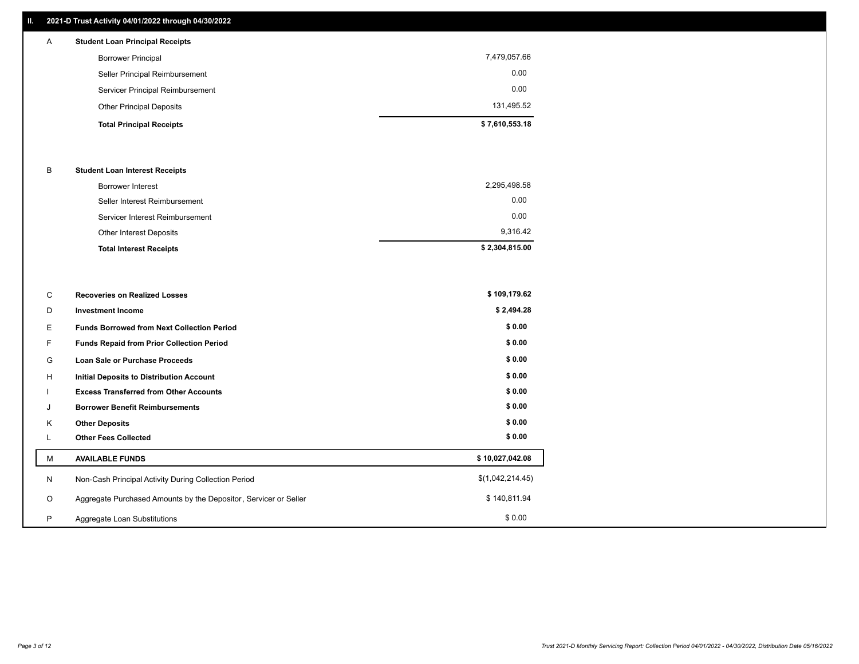## **II. 2021-D Trust Activity 04/01/2022 through 04/30/2022**

## **Total Principal Receipts \$ 7,610,553.18**  Other Principal Deposits 131,495.52 Servicer Principal Reimbursement 0.00 Seller Principal Reimbursement 0.00 Borrower Principal 7,479,057.66 A **Student Loan Principal Receipts**

#### B **Student Loan Interest Receipts**

| <b>Total Interest Receipts</b>  | \$2,304,815.00 |
|---------------------------------|----------------|
| Other Interest Deposits         | 9.316.42       |
| Servicer Interest Reimbursement | 0.00           |
| Seller Interest Reimbursement   | 0.00           |
| Borrower Interest               | 2,295,498.58   |

| C       | <b>Recoveries on Realized Losses</b>                             | \$109,179.62     |
|---------|------------------------------------------------------------------|------------------|
| D       | <b>Investment Income</b>                                         | \$2,494.28       |
| Е.      | <b>Funds Borrowed from Next Collection Period</b>                | \$0.00           |
| F.      | Funds Repaid from Prior Collection Period                        | \$0.00           |
| G       | Loan Sale or Purchase Proceeds                                   | \$0.00           |
| H       | Initial Deposits to Distribution Account                         | \$0.00           |
|         | <b>Excess Transferred from Other Accounts</b>                    | \$0.00           |
| J       | <b>Borrower Benefit Reimbursements</b>                           | \$0.00           |
| K       | <b>Other Deposits</b>                                            | \$0.00           |
| L       | <b>Other Fees Collected</b>                                      | \$0.00           |
| M       | <b>AVAILABLE FUNDS</b>                                           | \$10,027,042.08  |
| N       | Non-Cash Principal Activity During Collection Period             | \$(1,042,214.45) |
| $\circ$ | Aggregate Purchased Amounts by the Depositor, Servicer or Seller | \$140,811.94     |
| P       | Aggregate Loan Substitutions                                     | \$0.00           |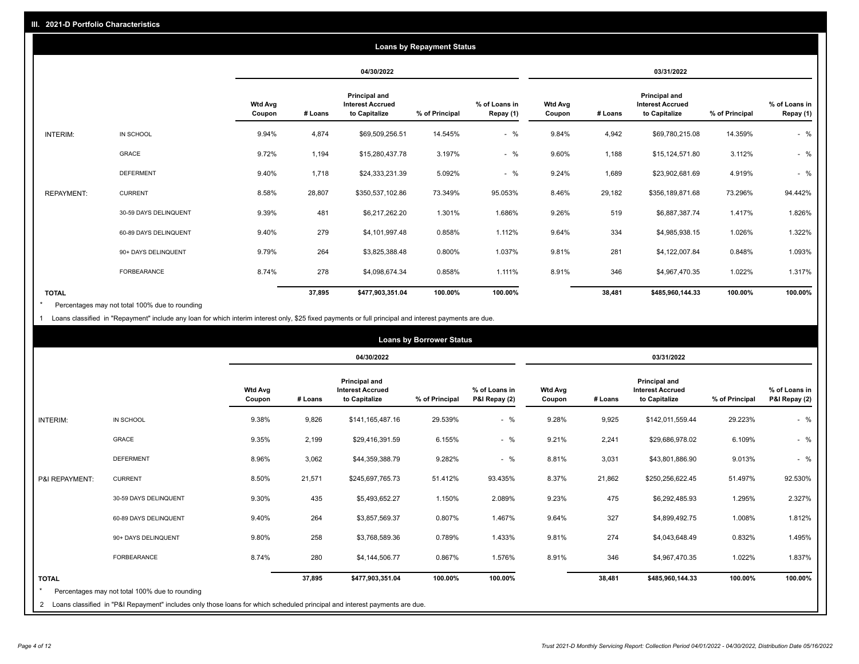| <b>Loans by Repayment Status</b> |                   |                       |                          |            |                                                           |                |                            |                          |         |                                                           |                |                            |
|----------------------------------|-------------------|-----------------------|--------------------------|------------|-----------------------------------------------------------|----------------|----------------------------|--------------------------|---------|-----------------------------------------------------------|----------------|----------------------------|
|                                  |                   |                       |                          | 04/30/2022 |                                                           |                |                            |                          |         | 03/31/2022                                                |                |                            |
|                                  |                   |                       | <b>Wtd Avg</b><br>Coupon | # Loans    | Principal and<br><b>Interest Accrued</b><br>to Capitalize | % of Principal | % of Loans in<br>Repay (1) | <b>Wtd Avg</b><br>Coupon | # Loans | Principal and<br><b>Interest Accrued</b><br>to Capitalize | % of Principal | % of Loans in<br>Repay (1) |
|                                  | INTERIM:          | IN SCHOOL             | 9.94%                    | 4,874      | \$69,509,256.51                                           | 14.545%        | $-$ %                      | 9.84%                    | 4,942   | \$69,780,215.08                                           | 14.359%        | $-$ %                      |
|                                  |                   | GRACE                 | 9.72%                    | 1,194      | \$15,280,437.78                                           | 3.197%         | $-$ %                      | 9.60%                    | 1,188   | \$15,124,571.80                                           | 3.112%         | $-$ %                      |
|                                  |                   | <b>DEFERMENT</b>      | 9.40%                    | 1,718      | \$24,333,231.39                                           | 5.092%         | $-$ %                      | 9.24%                    | 1,689   | \$23,902,681.69                                           | 4.919%         | $-$ %                      |
|                                  | <b>REPAYMENT:</b> | <b>CURRENT</b>        | 8.58%                    | 28,807     | \$350,537,102.86                                          | 73.349%        | 95.053%                    | 8.46%                    | 29,182  | \$356,189,871.68                                          | 73.296%        | 94.442%                    |
|                                  |                   | 30-59 DAYS DELINQUENT | 9.39%                    | 481        | \$6,217,262.20                                            | 1.301%         | 1.686%                     | 9.26%                    | 519     | \$6,887,387.74                                            | 1.417%         | 1.826%                     |
|                                  |                   | 60-89 DAYS DELINQUENT | 9.40%                    | 279        | \$4,101,997.48                                            | 0.858%         | 1.112%                     | 9.64%                    | 334     | \$4,985,938.15                                            | 1.026%         | 1.322%                     |
|                                  |                   | 90+ DAYS DELINQUENT   | 9.79%                    | 264        | \$3,825,388.48                                            | 0.800%         | 1.037%                     | 9.81%                    | 281     | \$4,122,007.84                                            | 0.848%         | 1.093%                     |
|                                  |                   | <b>FORBEARANCE</b>    | 8.74%                    | 278        | \$4,098,674.34                                            | 0.858%         | 1.111%                     | 8.91%                    | 346     | \$4,967,470.35                                            | 1.022%         | 1.317%                     |
|                                  | <b>TOTAL</b>      |                       |                          | 37,895     | \$477,903,351.04                                          | 100.00%        | 100.00%                    |                          | 38,481  | \$485,960,144.33                                          | 100.00%        | 100.00%                    |

Percentages may not total 100% due to rounding \*

1 Loans classified in "Repayment" include any loan for which interim interest only, \$25 fixed payments or full principal and interest payments are due.

| <b>Loans by Borrower Status</b> |                                                                                                                              |                          |         |                                                                  |                |                                |                          |         |                                                                  |                |                                |
|---------------------------------|------------------------------------------------------------------------------------------------------------------------------|--------------------------|---------|------------------------------------------------------------------|----------------|--------------------------------|--------------------------|---------|------------------------------------------------------------------|----------------|--------------------------------|
|                                 |                                                                                                                              |                          |         | 04/30/2022                                                       |                |                                |                          |         | 03/31/2022                                                       |                |                                |
|                                 |                                                                                                                              | <b>Wtd Avg</b><br>Coupon | # Loans | <b>Principal and</b><br><b>Interest Accrued</b><br>to Capitalize | % of Principal | % of Loans in<br>P&I Repay (2) | <b>Wtd Avg</b><br>Coupon | # Loans | <b>Principal and</b><br><b>Interest Accrued</b><br>to Capitalize | % of Principal | % of Loans in<br>P&I Repay (2) |
| <b>INTERIM:</b>                 | IN SCHOOL                                                                                                                    | 9.38%                    | 9,826   | \$141,165,487.16                                                 | 29.539%        | $-$ %                          | 9.28%                    | 9,925   | \$142,011,559.44                                                 | 29.223%        | $-$ %                          |
|                                 | <b>GRACE</b>                                                                                                                 | 9.35%                    | 2,199   | \$29,416,391.59                                                  | 6.155%         | $-$ %                          | 9.21%                    | 2,241   | \$29,686,978.02                                                  | 6.109%         | $-$ %                          |
|                                 | <b>DEFERMENT</b>                                                                                                             | 8.96%                    | 3,062   | \$44,359,388.79                                                  | 9.282%         | $-$ %                          | 8.81%                    | 3,031   | \$43,801,886.90                                                  | 9.013%         | $-$ %                          |
| P&I REPAYMENT:                  | <b>CURRENT</b>                                                                                                               | 8.50%                    | 21,571  | \$245,697,765.73                                                 | 51.412%        | 93.435%                        | 8.37%                    | 21,862  | \$250,256,622.45                                                 | 51.497%        | 92.530%                        |
|                                 | 30-59 DAYS DELINQUENT                                                                                                        | 9.30%                    | 435     | \$5,493,652.27                                                   | 1.150%         | 2.089%                         | 9.23%                    | 475     | \$6,292,485.93                                                   | 1.295%         | 2.327%                         |
|                                 | 60-89 DAYS DELINQUENT                                                                                                        | 9.40%                    | 264     | \$3,857,569.37                                                   | 0.807%         | 1.467%                         | 9.64%                    | 327     | \$4,899,492.75                                                   | 1.008%         | 1.812%                         |
|                                 | 90+ DAYS DELINQUENT                                                                                                          | 9.80%                    | 258     | \$3,768,589.36                                                   | 0.789%         | 1.433%                         | 9.81%                    | 274     | \$4,043,648.49                                                   | 0.832%         | 1.495%                         |
|                                 | FORBEARANCE                                                                                                                  | 8.74%                    | 280     | \$4,144,506.77                                                   | 0.867%         | 1.576%                         | 8.91%                    | 346     | \$4,967,470.35                                                   | 1.022%         | 1.837%                         |
| <b>TOTAL</b><br>$\star$         | Percentages may not total 100% due to rounding                                                                               |                          | 37,895  | \$477,903,351.04                                                 | 100.00%        | 100.00%                        |                          | 38,481  | \$485,960,144.33                                                 | 100.00%        | 100.00%                        |
|                                 | 2 Loans classified in "P&I Repayment" includes only those loans for which scheduled principal and interest payments are due. |                          |         |                                                                  |                |                                |                          |         |                                                                  |                |                                |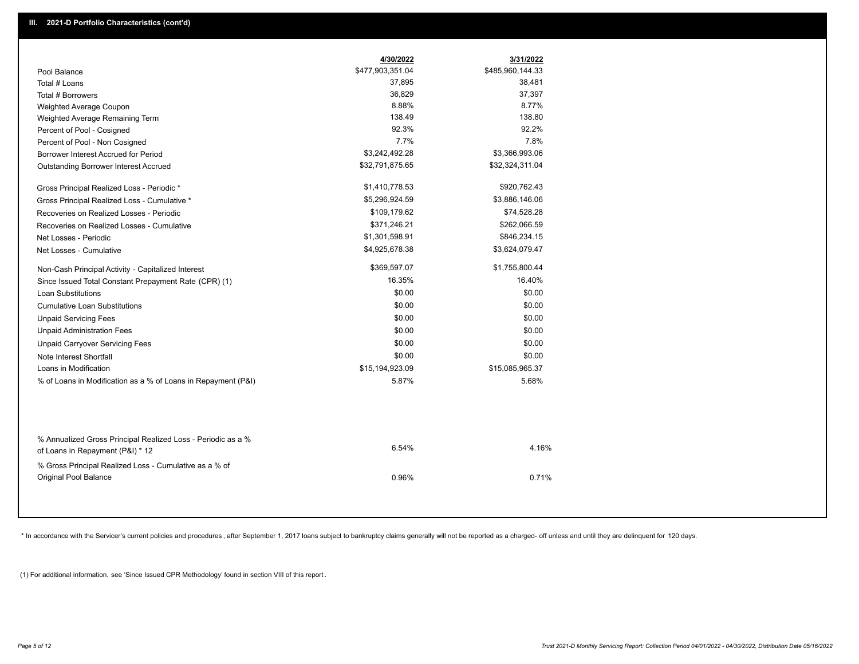|                                                                                                  | 4/30/2022        | 3/31/2022        |
|--------------------------------------------------------------------------------------------------|------------------|------------------|
| Pool Balance                                                                                     | \$477,903,351.04 | \$485,960,144.33 |
| Total # Loans                                                                                    | 37,895           | 38,481           |
| Total # Borrowers                                                                                | 36,829           | 37,397           |
| Weighted Average Coupon                                                                          | 8.88%            | 8.77%            |
| Weighted Average Remaining Term                                                                  | 138.49           | 138.80           |
| Percent of Pool - Cosigned                                                                       | 92.3%            | 92.2%            |
| Percent of Pool - Non Cosigned                                                                   | 7.7%             | 7.8%             |
| Borrower Interest Accrued for Period                                                             | \$3,242,492.28   | \$3,366,993.06   |
| Outstanding Borrower Interest Accrued                                                            | \$32,791,875.65  | \$32,324,311.04  |
| Gross Principal Realized Loss - Periodic *                                                       | \$1,410,778.53   | \$920,762.43     |
| Gross Principal Realized Loss - Cumulative *                                                     | \$5,296,924.59   | \$3,886,146.06   |
| Recoveries on Realized Losses - Periodic                                                         | \$109,179.62     | \$74,528.28      |
| Recoveries on Realized Losses - Cumulative                                                       | \$371,246.21     | \$262,066.59     |
| Net Losses - Periodic                                                                            | \$1,301,598.91   | \$846,234.15     |
| Net Losses - Cumulative                                                                          | \$4,925,678.38   | \$3,624,079.47   |
| Non-Cash Principal Activity - Capitalized Interest                                               | \$369,597.07     | \$1,755,800.44   |
| Since Issued Total Constant Prepayment Rate (CPR) (1)                                            | 16.35%           | 16.40%           |
| <b>Loan Substitutions</b>                                                                        | \$0.00           | \$0.00           |
| <b>Cumulative Loan Substitutions</b>                                                             | \$0.00           | \$0.00           |
| <b>Unpaid Servicing Fees</b>                                                                     | \$0.00           | \$0.00           |
| <b>Unpaid Administration Fees</b>                                                                | \$0.00           | \$0.00           |
| <b>Unpaid Carryover Servicing Fees</b>                                                           | \$0.00           | \$0.00           |
| Note Interest Shortfall                                                                          | \$0.00           | \$0.00           |
| Loans in Modification                                                                            | \$15,194,923.09  | \$15,085,965.37  |
| % of Loans in Modification as a % of Loans in Repayment (P&I)                                    | 5.87%            | 5.68%            |
|                                                                                                  |                  |                  |
| % Annualized Gross Principal Realized Loss - Periodic as a %<br>of Loans in Repayment (P&I) * 12 | 6.54%            | 4.16%            |
| % Gross Principal Realized Loss - Cumulative as a % of<br>Original Pool Balance                  | 0.96%            | 0.71%            |

\* In accordance with the Servicer's current policies and procedures, after September 1, 2017 loans subject to bankruptcy claims generally will not be reported as a charged- off unless and until they are delinquent for 120

(1) For additional information, see 'Since Issued CPR Methodology' found in section VIII of this report .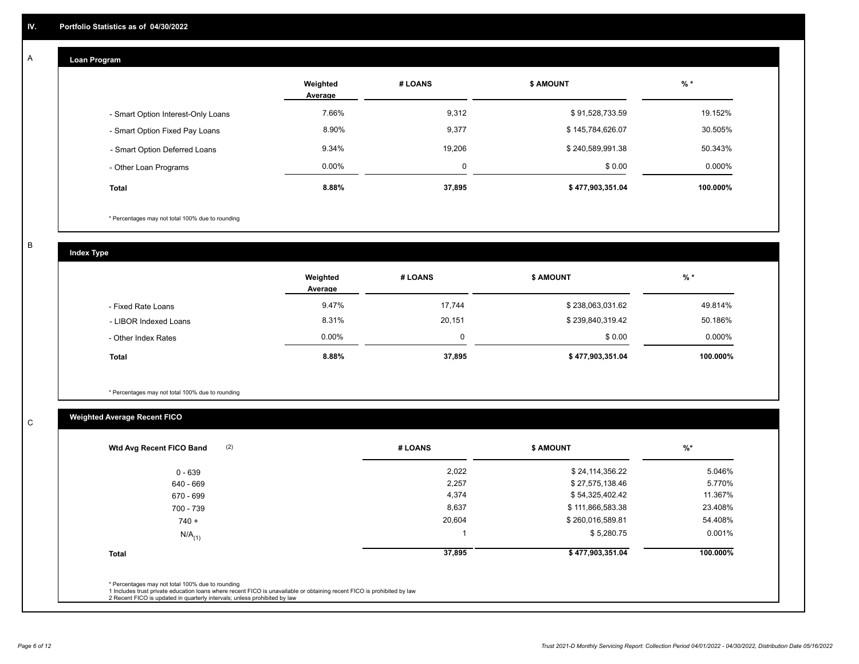## **Loan Program**

A

|                                    | Weighted<br>Average | # LOANS  | <b>\$ AMOUNT</b> | $%$ *    |
|------------------------------------|---------------------|----------|------------------|----------|
| - Smart Option Interest-Only Loans | 7.66%               | 9,312    | \$91,528,733.59  | 19.152%  |
| - Smart Option Fixed Pay Loans     | 8.90%               | 9,377    | \$145,784,626.07 | 30.505%  |
| - Smart Option Deferred Loans      | 9.34%               | 19,206   | \$240,589,991.38 | 50.343%  |
| - Other Loan Programs              | $0.00\%$            | $\Omega$ | \$0.00           | 0.000%   |
| <b>Total</b>                       | 8.88%               | 37,895   | \$477,903,351.04 | 100.000% |

\* Percentages may not total 100% due to rounding

B

C

**Index Type**

|                       | Weighted<br>Average | # LOANS | <b>S AMOUNT</b>  | $%$ *     |
|-----------------------|---------------------|---------|------------------|-----------|
| - Fixed Rate Loans    | 9.47%               | 17,744  | \$238,063,031.62 | 49.814%   |
| - LIBOR Indexed Loans | 8.31%               | 20,151  | \$239,840,319.42 | 50.186%   |
| - Other Index Rates   | $0.00\%$            | 0       | \$0.00           | $0.000\%$ |
| <b>Total</b>          | 8.88%               | 37,895  | \$477,903,351.04 | 100.000%  |

\* Percentages may not total 100% due to rounding

## **Weighted Average Recent FICO**

| $0 - 639$            | 2,022  | \$24,114,356.22  | 5.046%   |
|----------------------|--------|------------------|----------|
| 640 - 669            | 2,257  | \$27,575,138.46  | 5.770%   |
| 670 - 699            | 4,374  | \$54,325,402.42  | 11.367%  |
| 700 - 739            | 8,637  | \$111,866,583.38 | 23.408%  |
| $740 +$              | 20,604 | \$260,016,589.81 | 54.408%  |
| $N/A$ <sub>(1)</sub> |        | \$5,280.75       | 0.001%   |
| <b>Total</b>         | 37,895 | \$477,903,351.04 | 100.000% |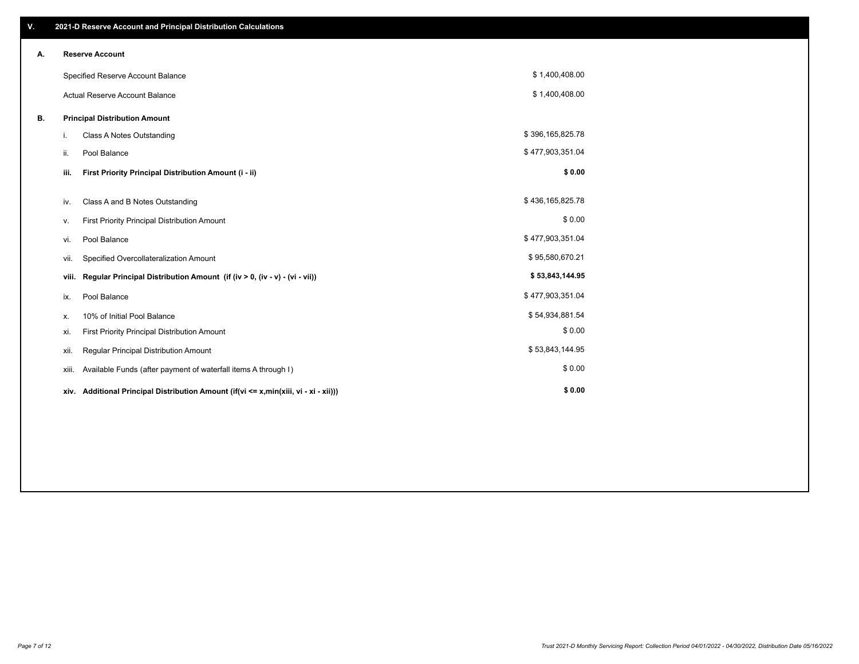| V. |       | 2021-D Reserve Account and Principal Distribution Calculations                  |                  |  |
|----|-------|---------------------------------------------------------------------------------|------------------|--|
| А. |       | <b>Reserve Account</b>                                                          |                  |  |
|    |       | Specified Reserve Account Balance                                               | \$1,400,408.00   |  |
|    |       | Actual Reserve Account Balance                                                  | \$1,400,408.00   |  |
| В. |       | <b>Principal Distribution Amount</b>                                            |                  |  |
|    | i.    | Class A Notes Outstanding                                                       | \$396,165,825.78 |  |
|    | ii.   | Pool Balance                                                                    | \$477,903,351.04 |  |
|    | iii.  | First Priority Principal Distribution Amount (i - ii)                           | \$0.00           |  |
|    | iv.   | Class A and B Notes Outstanding                                                 | \$436,165,825.78 |  |
|    | ν.    | First Priority Principal Distribution Amount                                    | \$0.00           |  |
|    | vi.   | Pool Balance                                                                    | \$477,903,351.04 |  |
|    | vii.  | Specified Overcollateralization Amount                                          | \$95,580,670.21  |  |
|    | viii. | Regular Principal Distribution Amount (if (iv > 0, (iv - v) - (vi - vii))       | \$53,843,144.95  |  |
|    | ix.   | Pool Balance                                                                    | \$477,903,351.04 |  |
|    | х.    | 10% of Initial Pool Balance                                                     | \$54,934,881.54  |  |
|    | xi.   | First Priority Principal Distribution Amount                                    | \$0.00           |  |
|    | xii.  | Regular Principal Distribution Amount                                           | \$53,843,144.95  |  |
|    | xiii. | Available Funds (after payment of waterfall items A through I)                  | \$0.00           |  |
|    | xiv.  | Additional Principal Distribution Amount (if(vi <= x,min(xiii, vi - xi - xii))) | \$0.00           |  |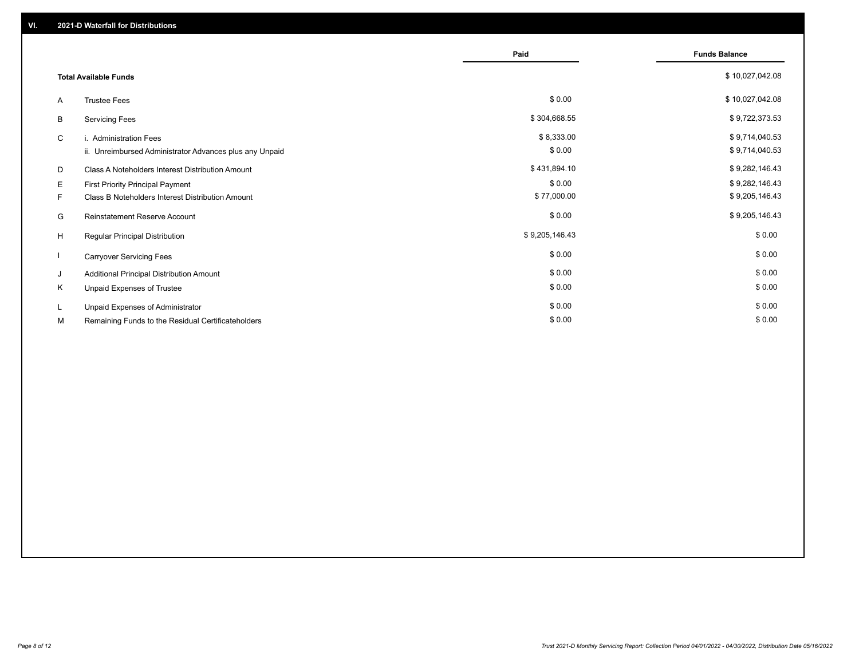|    |                                                         | Paid           | <b>Funds Balance</b> |
|----|---------------------------------------------------------|----------------|----------------------|
|    |                                                         |                |                      |
|    | <b>Total Available Funds</b>                            |                | \$10,027,042.08      |
| A  | <b>Trustee Fees</b>                                     | \$0.00         | \$10,027,042.08      |
| В  | <b>Servicing Fees</b>                                   | \$304,668.55   | \$9,722,373.53       |
| C  | i. Administration Fees                                  | \$8,333.00     | \$9,714,040.53       |
|    | ii. Unreimbursed Administrator Advances plus any Unpaid | \$0.00         | \$9,714,040.53       |
| D  | Class A Noteholders Interest Distribution Amount        | \$431,894.10   | \$9,282,146.43       |
| E. | First Priority Principal Payment                        | \$0.00         | \$9,282,146.43       |
| F. | Class B Noteholders Interest Distribution Amount        | \$77,000.00    | \$9,205,146.43       |
| G  | <b>Reinstatement Reserve Account</b>                    | \$0.00         | \$9,205,146.43       |
| H  | Regular Principal Distribution                          | \$9,205,146.43 | \$0.00               |
|    | <b>Carryover Servicing Fees</b>                         | \$0.00         | \$0.00               |
| J  | Additional Principal Distribution Amount                | \$0.00         | \$0.00               |
| Κ  | Unpaid Expenses of Trustee                              | \$0.00         | \$0.00               |
| L. | Unpaid Expenses of Administrator                        | \$0.00         | \$0.00               |
| М  | Remaining Funds to the Residual Certificateholders      | \$0.00         | \$0.00               |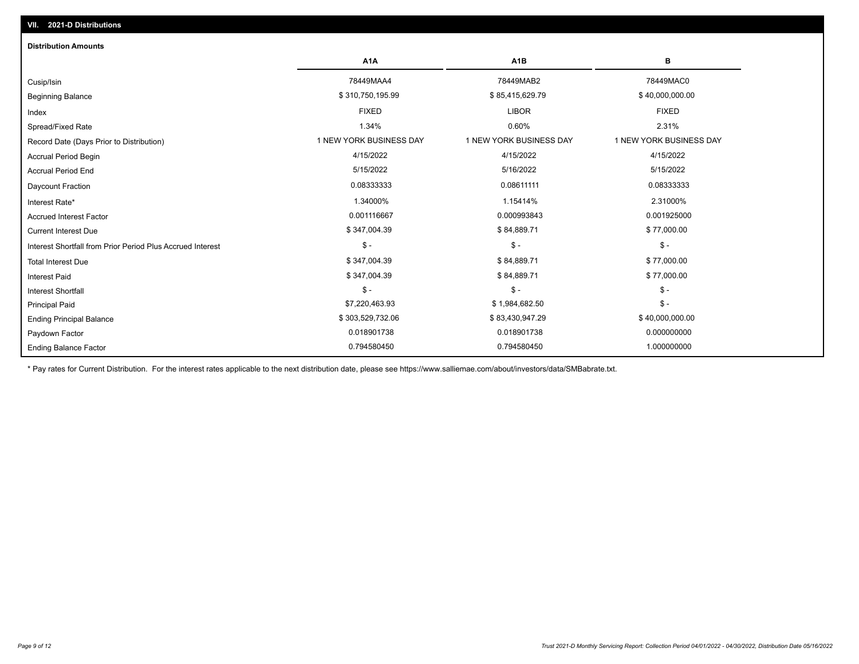| <b>Distribution Amounts</b>                                |                         |                         |                         |
|------------------------------------------------------------|-------------------------|-------------------------|-------------------------|
|                                                            | A <sub>1</sub> A        | A <sub>1</sub> B        | в                       |
| Cusip/Isin                                                 | 78449MAA4               | 78449MAB2               | 78449MAC0               |
| <b>Beginning Balance</b>                                   | \$310,750,195.99        | \$85,415,629.79         | \$40,000,000.00         |
| Index                                                      | <b>FIXED</b>            | <b>LIBOR</b>            | <b>FIXED</b>            |
| Spread/Fixed Rate                                          | 1.34%                   | 0.60%                   | 2.31%                   |
| Record Date (Days Prior to Distribution)                   | 1 NEW YORK BUSINESS DAY | 1 NEW YORK BUSINESS DAY | 1 NEW YORK BUSINESS DAY |
| <b>Accrual Period Begin</b>                                | 4/15/2022               | 4/15/2022               | 4/15/2022               |
| <b>Accrual Period End</b>                                  | 5/15/2022               | 5/16/2022               | 5/15/2022               |
| Daycount Fraction                                          | 0.08333333              | 0.08611111              | 0.08333333              |
| Interest Rate*                                             | 1.34000%                | 1.15414%                | 2.31000%                |
| <b>Accrued Interest Factor</b>                             | 0.001116667             | 0.000993843             | 0.001925000             |
| <b>Current Interest Due</b>                                | \$347,004.39            | \$84,889.71             | \$77,000.00             |
| Interest Shortfall from Prior Period Plus Accrued Interest | $\mathsf{\$}$ -         | $\mathcal{S}$ -         | $$ -$                   |
| <b>Total Interest Due</b>                                  | \$347,004.39            | \$84,889.71             | \$77,000.00             |
| <b>Interest Paid</b>                                       | \$347,004.39            | \$84,889.71             | \$77,000.00             |
| <b>Interest Shortfall</b>                                  | $$ -$                   | $\mathsf{\$}$ -         | $\mathsf{\$}$ -         |
| <b>Principal Paid</b>                                      | \$7,220,463.93          | \$1,984,682.50          | $\mathsf{\$}$ -         |
| <b>Ending Principal Balance</b>                            | \$303,529,732.06        | \$83,430,947.29         | \$40,000,000.00         |
| Paydown Factor                                             | 0.018901738             | 0.018901738             | 0.000000000             |
| <b>Ending Balance Factor</b>                               | 0.794580450             | 0.794580450             | 1.000000000             |

\* Pay rates for Current Distribution. For the interest rates applicable to the next distribution date, please see https://www.salliemae.com/about/investors/data/SMBabrate.txt.

**VII. 2021-D Distributions**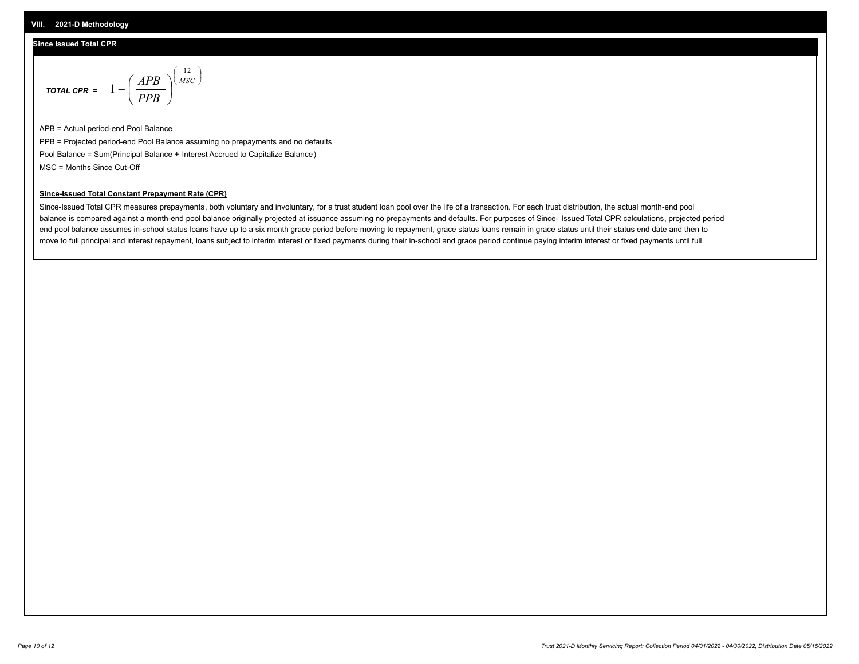### **Since Issued Total CPR**

$$
\text{total CPR} = 1 - \left(\frac{APB}{PPB}\right)^{\left(\frac{12}{MSC}\right)}
$$

APB = Actual period-end Pool Balance PPB = Projected period-end Pool Balance assuming no prepayments and no defaults Pool Balance = Sum(Principal Balance + Interest Accrued to Capitalize Balance) MSC = Months Since Cut-Off

I J Ι

### **Since-Issued Total Constant Prepayment Rate (CPR)**

Since-Issued Total CPR measures prepayments, both voluntary and involuntary, for a trust student loan pool over the life of a transaction. For each trust distribution, the actual month-end pool balance is compared against a month-end pool balance originally projected at issuance assuming no prepayments and defaults. For purposes of Since- Issued Total CPR calculations, projected period end pool balance assumes in-school status loans have up to a six month grace period before moving to repayment, grace status loans remain in grace status until their status end date and then to move to full principal and interest repayment, loans subject to interim interest or fixed payments during their in-school and grace period continue paying interim interest or fixed payments until full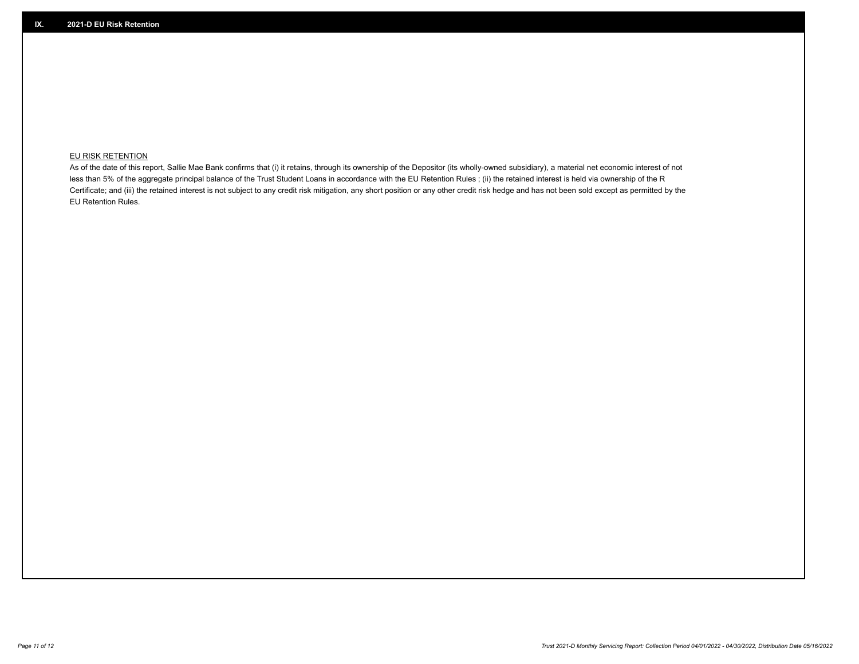## **EU RISK RETENTION**

As of the date of this report, Sallie Mae Bank confirms that (i) it retains, through its ownership of the Depositor (its wholly-owned subsidiary), a material net economic interest of not less than 5% of the aggregate principal balance of the Trust Student Loans in accordance with the EU Retention Rules ; (ii) the retained interest is held via ownership of the R Certificate; and (iii) the retained interest is not subject to any credit risk mitigation, any short position or any other credit risk hedge and has not been sold except as permitted by the EU Retention Rules.